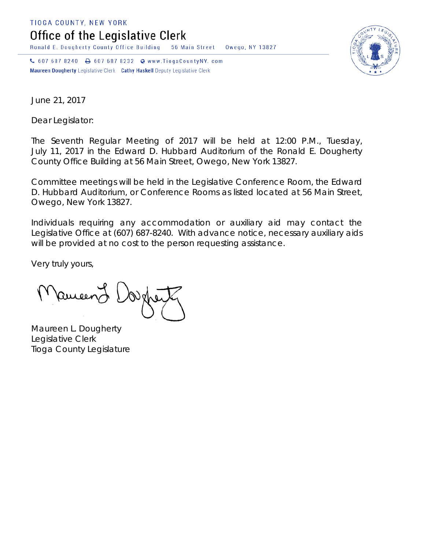TIOGA COUNTY, NEW YORK

Office of the Legislative Clerk

Ronald E. Dougherty County Office Building 56 Main Street Owego, NY 13827

↓ 607 687 8240 → 607 687 8232 → www.TiogaCountyNY.com Maureen Dougherty Legislative Clerk Cathy Haskell Deputy Legislative Clerk



June 21, 2017

Dear Legislator:

The Seventh Regular Meeting of 2017 will be held at 12:00 P.M., Tuesday, July 11, 2017 in the Edward D. Hubbard Auditorium of the Ronald E. Dougherty County Office Building at 56 Main Street, Owego, New York 13827.

Committee meetings will be held in the Legislative Conference Room, the Edward D. Hubbard Auditorium, or Conference Rooms as listed located at 56 Main Street, Owego, New York 13827.

Individuals requiring any accommodation or auxiliary aid may contact the Legislative Office at (607) 687-8240. With advance notice, necessary auxiliary aids will be provided at no cost to the person requesting assistance.

Very truly yours,

ameen J

Maureen L. Dougherty Legislative Clerk Tioga County Legislature